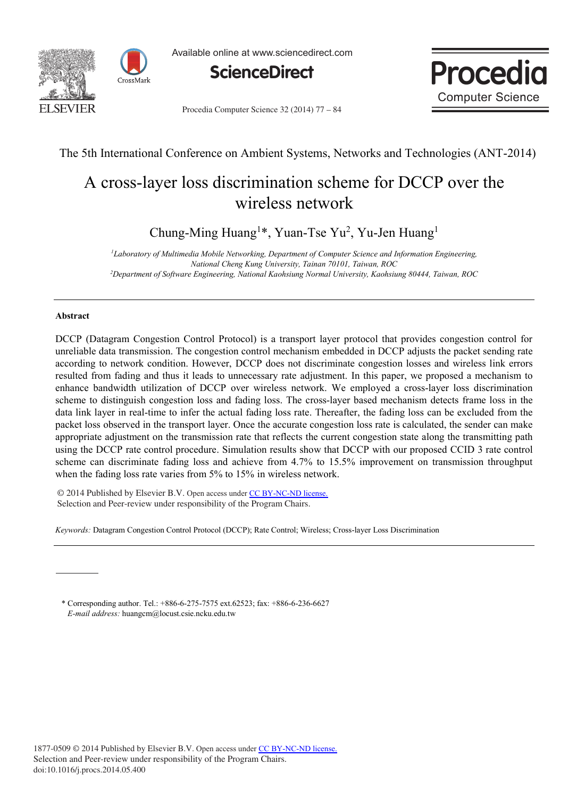



Available online at www.sciencedirect.com





Procedia Computer Science 32 (2014) 77 - 84

### The 5th International Conference on Ambient Systems, Networks and Technologies (ANT-2014)

# A cross-layer loss discrimination scheme for DCCP over the wireless network

Chung-Ming Huang<sup>1\*</sup>, Yuan-Tse Yu<sup>2</sup>, Yu-Jen Huang<sup>1</sup>

*1 Laboratory of Multimedia Mobile Networking, Department of Computer Science and Information Engineering, National Cheng Kung University, Tainan 70101, Taiwan, ROC 2 Department of Software Engineering, National Kaohsiung Normal University, Kaohsiung 80444, Taiwan, ROC*

### **Abstract**

DCCP (Datagram Congestion Control Protocol) is a transport layer protocol that provides congestion control for unreliable data transmission. The congestion control mechanism embedded in DCCP adjusts the packet sending rate according to network condition. However, DCCP does not discriminate congestion losses and wireless link errors resulted from fading and thus it leads to unnecessary rate adjustment. In this paper, we proposed a mechanism to enhance bandwidth utilization of DCCP over wireless network. We employed a cross-layer loss discrimination scheme to distinguish congestion loss and fading loss. The cross-layer based mechanism detects frame loss in the data link layer in real-time to infer the actual fading loss rate. Thereafter, the fading loss can be excluded from the packet loss observed in the transport layer. Once the accurate congestion loss rate is calculated, the sender can make appropriate adjustment on the transmission rate that reflects the current congestion state along the transmitting path using the DCCP rate control procedure. Simulation results show that DCCP with our proposed CCID 3 rate control scheme can discriminate fading loss and achieve from 4.7% to 15.5% improvement on transmission throughput when the fading loss rate varies from 5% to 15% in wireless network.

© 2014 Published by Elsevier B.V. Open access under [CC BY-NC-ND license.](http://creativecommons.org/licenses/by-nc-nd/3.0/) Selection and Peer-review under responsibility of the Program Chairs.

*Keywords:* Datagram Congestion Control Protocol (DCCP); Rate Control; Wireless; Cross-layer Loss Discrimination

\* Corresponding author. Tel.: +886-6-275-7575 ext.62523; fax: +886-6-236-6627 *E-mail address:* huangcm@locust.csie.ncku.edu.tw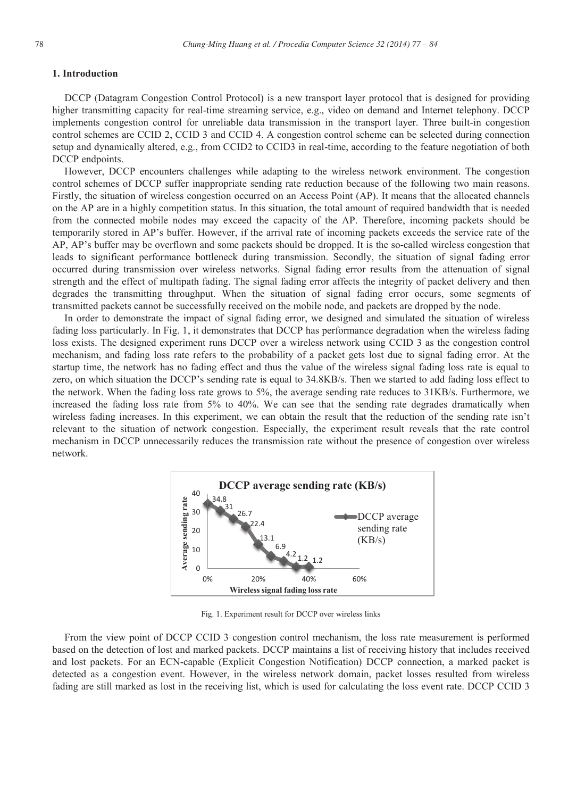#### **1. Introduction**

DCCP (Datagram Congestion Control Protocol) is a new transport layer protocol that is designed for providing higher transmitting capacity for real-time streaming service, e.g., video on demand and Internet telephony. DCCP implements congestion control for unreliable data transmission in the transport layer. Three built-in congestion control schemes are CCID 2, CCID 3 and CCID 4. A congestion control scheme can be selected during connection setup and dynamically altered, e.g., from CCID2 to CCID3 in real-time, according to the feature negotiation of both DCCP endpoints.

However, DCCP encounters challenges while adapting to the wireless network environment. The congestion control schemes of DCCP suffer inappropriate sending rate reduction because of the following two main reasons. Firstly, the situation of wireless congestion occurred on an Access Point (AP). It means that the allocated channels on the AP are in a highly competition status. In this situation, the total amount of required bandwidth that is needed from the connected mobile nodes may exceed the capacity of the AP. Therefore, incoming packets should be temporarily stored in AP's buffer. However, if the arrival rate of incoming packets exceeds the service rate of the AP, AP's buffer may be overflown and some packets should be dropped. It is the so-called wireless congestion that leads to significant performance bottleneck during transmission. Secondly, the situation of signal fading error occurred during transmission over wireless networks. Signal fading error results from the attenuation of signal strength and the effect of multipath fading. The signal fading error affects the integrity of packet delivery and then degrades the transmitting throughput. When the situation of signal fading error occurs, some segments of transmitted packets cannot be successfully received on the mobile node, and packets are dropped by the node.

In order to demonstrate the impact of signal fading error, we designed and simulated the situation of wireless fading loss particularly. In Fig. 1, it demonstrates that DCCP has performance degradation when the wireless fading loss exists. The designed experiment runs DCCP over a wireless network using CCID 3 as the congestion control mechanism, and fading loss rate refers to the probability of a packet gets lost due to signal fading error. At the startup time, the network has no fading effect and thus the value of the wireless signal fading loss rate is equal to zero, on which situation the DCCP's sending rate is equal to 34.8KB/s. Then we started to add fading loss effect to the network. When the fading loss rate grows to 5%, the average sending rate reduces to 31KB/s. Furthermore, we increased the fading loss rate from 5% to 40%. We can see that the sending rate degrades dramatically when wireless fading increases. In this experiment, we can obtain the result that the reduction of the sending rate isn't relevant to the situation of network congestion. Especially, the experiment result reveals that the rate control mechanism in DCCP unnecessarily reduces the transmission rate without the presence of congestion over wireless network.



Fig. 1. Experiment result for DCCP over wireless links

From the view point of DCCP CCID 3 congestion control mechanism, the loss rate measurement is performed based on the detection of lost and marked packets. DCCP maintains a list of receiving history that includes received and lost packets. For an ECN-capable (Explicit Congestion Notification) DCCP connection, a marked packet is detected as a congestion event. However, in the wireless network domain, packet losses resulted from wireless fading are still marked as lost in the receiving list, which is used for calculating the loss event rate. DCCP CCID 3